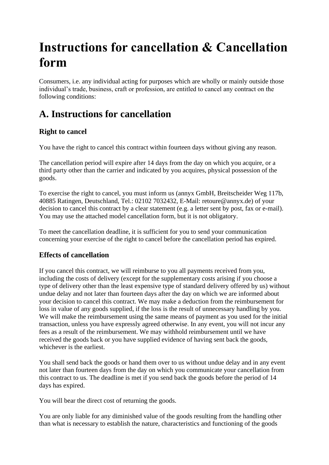# **Instructions for cancellation & Cancellation form**

Consumers, i.e. any individual acting for purposes which are wholly or mainly outside those individual's trade, business, craft or profession, are entitled to cancel any contract on the following conditions:

## **A. Instructions for cancellation**

### **Right to cancel**

You have the right to cancel this contract within fourteen days without giving any reason.

The cancellation period will expire after 14 days from the day on which you acquire, or a third party other than the carrier and indicated by you acquires, physical possession of the goods.

To exercise the right to cancel, you must inform us (annyx GmbH, Breitscheider Weg 117b, 40885 Ratingen, Deutschland, Tel.: 02102 7032432, E-Mail: retoure@annyx.de) of your decision to cancel this contract by a clear statement (e.g. a letter sent by post, fax or e-mail). You may use the attached model cancellation form, but it is not obligatory.

To meet the cancellation deadline, it is sufficient for you to send your communication concerning your exercise of the right to cancel before the cancellation period has expired.

#### **Effects of cancellation**

If you cancel this contract, we will reimburse to you all payments received from you, including the costs of delivery (except for the supplementary costs arising if you choose a type of delivery other than the least expensive type of standard delivery offered by us) without undue delay and not later than fourteen days after the day on which we are informed about your decision to cancel this contract. We may make a deduction from the reimbursement for loss in value of any goods supplied, if the loss is the result of unnecessary handling by you. We will make the reimbursement using the same means of payment as you used for the initial transaction, unless you have expressly agreed otherwise. In any event, you will not incur any fees as a result of the reimbursement. We may withhold reimbursement until we have received the goods back or you have supplied evidence of having sent back the goods, whichever is the earliest.

You shall send back the goods or hand them over to us without undue delay and in any event not later than fourteen days from the day on which you communicate your cancellation from this contract to us. The deadline is met if you send back the goods before the period of 14 days has expired.

You will bear the direct cost of returning the goods.

You are only liable for any diminished value of the goods resulting from the handling other than what is necessary to establish the nature, characteristics and functioning of the goods